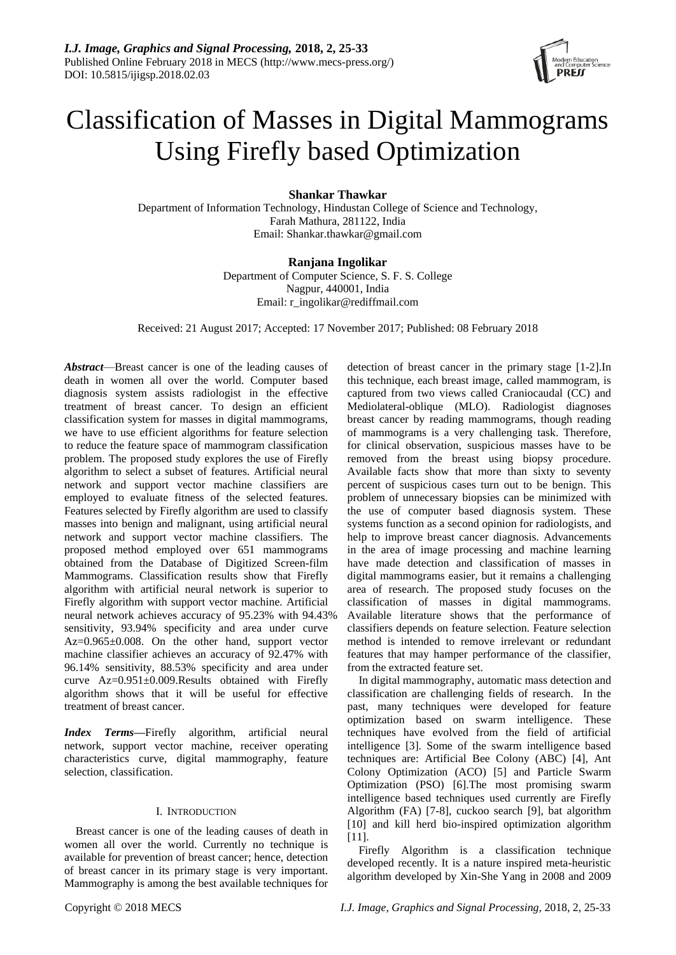# Classification of Masses in Digital Mammograms Using Firefly based Optimization

## **Shankar Thawkar**

Department of Information Technology, Hindustan College of Science and Technology, Farah Mathura, 281122, India Email: Shankar.thawkar@gmail.com

## **Ranjana Ingolikar**

Department of Computer Science, S. F. S. College Nagpur, 440001, India Email: r\_ingolikar@rediffmail.com

Received: 21 August 2017; Accepted: 17 November 2017; Published: 08 February 2018

*Abstract*—Breast cancer is one of the leading causes of death in women all over the world. Computer based diagnosis system assists radiologist in the effective treatment of breast cancer. To design an efficient classification system for masses in digital mammograms, we have to use efficient algorithms for feature selection to reduce the feature space of mammogram classification problem. The proposed study explores the use of Firefly algorithm to select a subset of features. Artificial neural network and support vector machine classifiers are employed to evaluate fitness of the selected features. Features selected by Firefly algorithm are used to classify masses into benign and malignant, using artificial neural network and support vector machine classifiers. The proposed method employed over 651 mammograms obtained from the Database of Digitized Screen-film Mammograms. Classification results show that Firefly algorithm with artificial neural network is superior to Firefly algorithm with support vector machine. Artificial neural network achieves accuracy of 95.23% with 94.43% sensitivity, 93.94% specificity and area under curve  $Az=0.965\pm0.008$ . On the other hand, support vector machine classifier achieves an accuracy of 92.47% with 96.14% sensitivity, 88.53% specificity and area under curve Az=0.951±0.009.Results obtained with Firefly algorithm shows that it will be useful for effective treatment of breast cancer.

*Index Terms***—**Firefly algorithm, artificial neural network, support vector machine, receiver operating characteristics curve, digital mammography, feature selection, classification.

## I. INTRODUCTION

Breast cancer is one of the leading causes of death in women all over the world. Currently no technique is available for prevention of breast cancer; hence, detection of breast cancer in its primary stage is very important. Mammography is among the best available techniques for detection of breast cancer in the primary stage [1-2].In this technique, each breast image, called mammogram, is captured from two views called Craniocaudal (CC) and Mediolateral-oblique (MLO). Radiologist diagnoses breast cancer by reading mammograms, though reading of mammograms is a very challenging task. Therefore, for clinical observation, suspicious masses have to be removed from the breast using biopsy procedure. Available facts show that more than sixty to seventy percent of suspicious cases turn out to be benign. This problem of unnecessary biopsies can be minimized with the use of computer based diagnosis system. These systems function as a second opinion for radiologists, and help to improve breast cancer diagnosis. Advancements in the area of image processing and machine learning have made detection and classification of masses in digital mammograms easier, but it remains a challenging area of research. The proposed study focuses on the classification of masses in digital mammograms. Available literature shows that the performance of classifiers depends on feature selection. Feature selection method is intended to remove irrelevant or redundant features that may hamper performance of the classifier, from the extracted feature set.

In digital mammography, automatic mass detection and classification are challenging fields of research. In the past, many techniques were developed for feature optimization based on swarm intelligence. These techniques have evolved from the field of artificial intelligence [3]. Some of the swarm intelligence based techniques are: Artificial Bee Colony (ABC) [4], Ant Colony Optimization (ACO) [5] and Particle Swarm Optimization (PSO) [6].The most promising swarm intelligence based techniques used currently are Firefly Algorithm (FA) [7-8], cuckoo search [9], bat algorithm [10] and kill herd bio-inspired optimization algorithm [11].

Firefly Algorithm is a classification technique developed recently. It is a nature inspired meta-heuristic algorithm developed by Xin-She Yang in 2008 and 2009

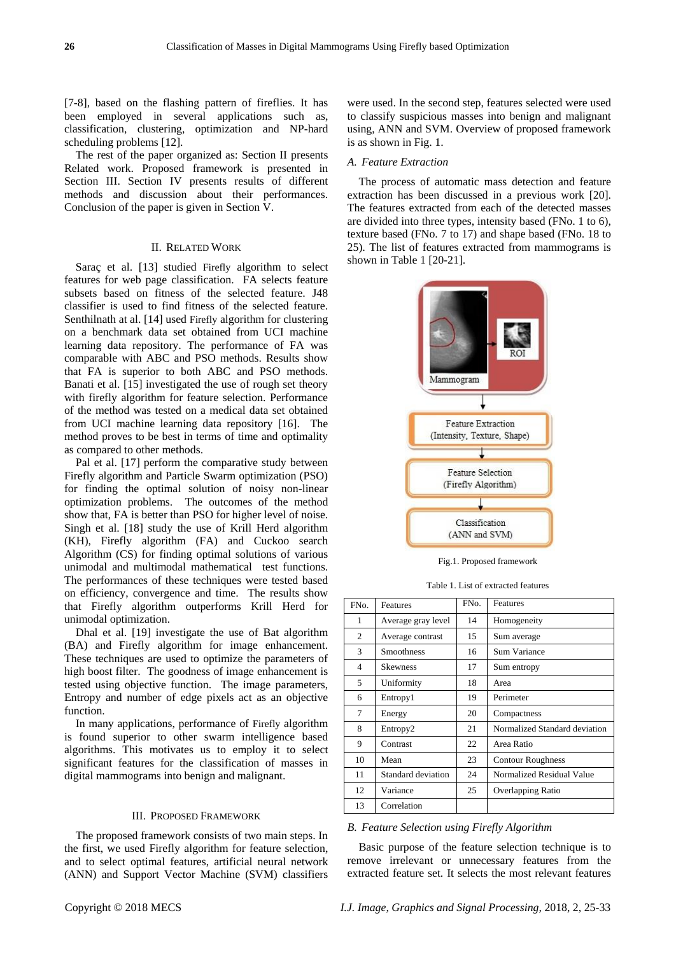[7-8], based on the flashing pattern of fireflies. It has been employed in several applications such as, classification, clustering, optimization and NP-hard scheduling problems [12].

The rest of the paper organized as: Section II presents Related work. Proposed framework is presented in Section III. Section IV presents results of different methods and discussion about their performances. Conclusion of the paper is given in Section V.

#### II. RELATED WORK

Saraç et al. [13] studied Firefly algorithm to select features for web page classification. FA selects feature subsets based on fitness of the selected feature. J48 classifier is used to find fitness of the selected feature. Senthilnath at al. [14] used Firefly algorithm for clustering on a benchmark data set obtained from UCI machine learning data repository. The performance of FA was comparable with ABC and PSO methods. Results show that FA is superior to both ABC and PSO methods. Banati et al. [15] investigated the use of rough set theory with firefly algorithm for feature selection. Performance of the method was tested on a medical data set obtained from UCI machine learning data repository [16]. The method proves to be best in terms of time and optimality as compared to other methods.

Pal et al. [17] perform the comparative study between Firefly algorithm and Particle Swarm optimization (PSO) for finding the optimal solution of noisy non-linear optimization problems. The outcomes of the method show that, FA is better than PSO for higher level of noise. Singh et al. [18] study the use of Krill Herd algorithm (KH), Firefly algorithm (FA) and Cuckoo search Algorithm (CS) for finding optimal solutions of various unimodal and multimodal mathematical test functions. The performances of these techniques were tested based on efficiency, convergence and time. The results show that Firefly algorithm outperforms Krill Herd for unimodal optimization.

Dhal et al. [19] investigate the use of Bat algorithm (BA) and Firefly algorithm for image enhancement. These techniques are used to optimize the parameters of high boost filter. The goodness of image enhancement is tested using objective function. The image parameters, Entropy and number of edge pixels act as an objective function.

In many applications, performance of Firefly algorithm is found superior to other swarm intelligence based algorithms. This motivates us to employ it to select significant features for the classification of masses in digital mammograms into benign and malignant.

## III. PROPOSED FRAMEWORK

The proposed framework consists of two main steps. In the first, we used Firefly algorithm for feature selection, and to select optimal features, artificial neural network (ANN) and Support Vector Machine (SVM) classifiers

were used. In the second step, features selected were used to classify suspicious masses into benign and malignant using, ANN and SVM. Overview of proposed framework is as shown in Fig. 1.

#### *A. Feature Extraction*

The process of automatic mass detection and feature extraction has been discussed in a previous work [20]. The features extracted from each of the detected masses are divided into three types, intensity based (FNo. 1 to 6), texture based (FNo. 7 to 17) and shape based (FNo. 18 to 25). The list of features extracted from mammograms is shown in Table 1 [20-21].



Fig.1. Proposed framework

Table 1. List of extracted features

| FN <sub>O</sub> . | Features             | FN <sub>o</sub> . | Features                      |
|-------------------|----------------------|-------------------|-------------------------------|
| 1                 | Average gray level   | 14                | Homogeneity                   |
| 2                 | Average contrast     | 15                | Sum average                   |
| 3                 | Smoothness           | 16                | Sum Variance                  |
| 4                 | <b>Skewness</b>      | 17                | Sum entropy                   |
| 5                 | Uniformity           | 18                | Area                          |
| 6                 | Entropy1             | 19                | Perimeter                     |
| 7                 | Energy               | 20                | Compactness                   |
| 8                 | Entropy <sub>2</sub> | 21                | Normalized Standard deviation |
| 9                 | Contrast             | 22                | Area Ratio                    |
| 10                | Mean                 | 23                | <b>Contour Roughness</b>      |
| 11                | Standard deviation   | 24                | Normalized Residual Value     |
| 12                | Variance             | 25                | Overlapping Ratio             |
| 13                | Correlation          |                   |                               |

*B. Feature Selection using Firefly Algorithm*

Basic purpose of the feature selection technique is to remove irrelevant or unnecessary features from the extracted feature set. It selects the most relevant features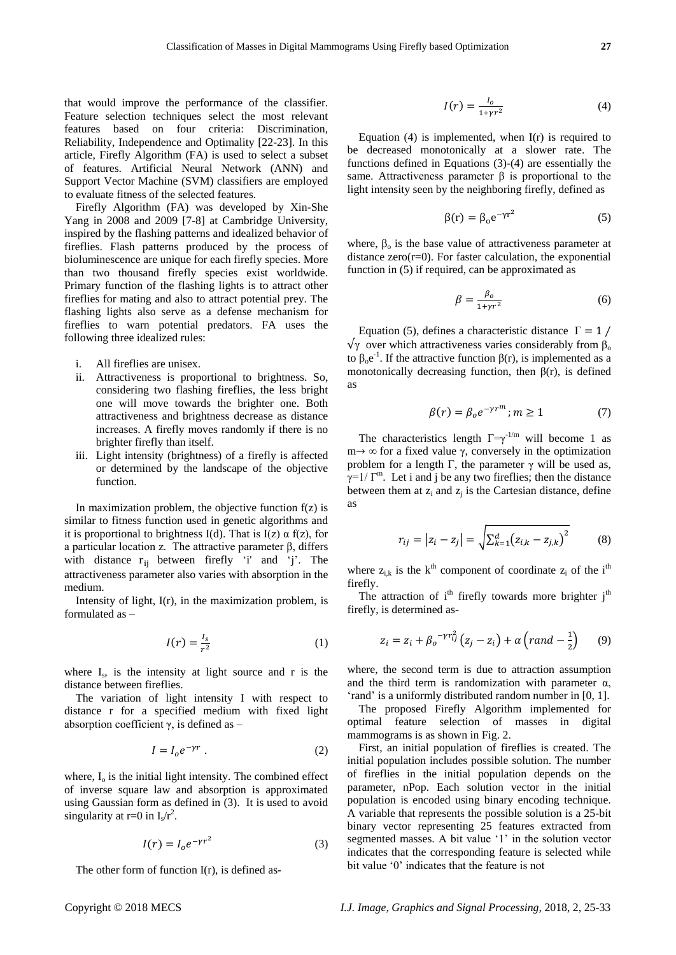that would improve the performance of the classifier. Feature selection techniques select the most relevant features based on four criteria: Discrimination, Reliability, Independence and Optimality [22-23]. In this article, Firefly Algorithm (FA) is used to select a subset of features. Artificial Neural Network (ANN) and Support Vector Machine (SVM) classifiers are employed to evaluate fitness of the selected features.

Firefly Algorithm (FA) was developed by Xin-She Yang in 2008 and 2009 [7-8] at Cambridge University, inspired by the flashing patterns and idealized behavior of fireflies. Flash patterns produced by the process of bioluminescence are unique for each firefly species. More than two thousand firefly species exist worldwide. Primary function of the flashing lights is to attract other fireflies for mating and also to attract potential prey. The flashing lights also serve as a defense mechanism for fireflies to warn potential predators. FA uses the following three idealized rules:

- i. All fireflies are unisex.
- ii. Attractiveness is proportional to brightness. So, considering two flashing fireflies, the less bright one will move towards the brighter one. Both attractiveness and brightness decrease as distance increases. A firefly moves randomly if there is no brighter firefly than itself.
- iii. Light intensity (brightness) of a firefly is affected or determined by the landscape of the objective function.

In maximization problem, the objective function  $f(z)$  is similar to fitness function used in genetic algorithms and it is proportional to brightness I(d). That is I(z)  $\alpha$  f(z), for a particular location z. The attractive parameter β, differs with distance  $r_{ij}$  between firefly 'i' and 'j'. The attractiveness parameter also varies with absorption in the medium.

Intensity of light, I(r), in the maximization problem, is formulated as –

$$
I(r) = \frac{I_s}{r^2} \tag{1}
$$

where  $I_s$ , is the intensity at light source and r is the distance between fireflies.

The variation of light intensity I with respect to distance r for a specified medium with fixed light absorption coefficient  $γ$ , is defined as –

$$
I = I_0 e^{-\gamma r} . \tag{2}
$$

where,  $I_0$  is the initial light intensity. The combined effect of inverse square law and absorption is approximated using Gaussian form as defined in (3). It is used to avoid singularity at r=0 in  $I_s/r^2$ .

$$
I(r) = I_0 e^{-\gamma r^2}
$$
 (3)

The other form of function  $I(r)$ , is defined as-

$$
I(r) = \frac{I_0}{1 + \gamma r^2} \tag{4}
$$

Equation  $(4)$  is implemented, when  $I(r)$  is required to be decreased monotonically at a slower rate. The functions defined in Equations (3)-(4) are essentially the same. Attractiveness parameter  $\beta$  is proportional to the light intensity seen by the neighboring firefly, defined as

$$
\beta(r) = \beta_0 e^{-\gamma r^2} \tag{5}
$$

where,  $\beta_0$  is the base value of attractiveness parameter at distance  $zero(r=0)$ . For faster calculation, the exponential function in (5) if required, can be approximated as

$$
\beta = \frac{\beta_o}{1 + \gamma r^2} \tag{6}
$$

Equation (5), defines a characteristic distance  $\Gamma = 1$  /  $\sqrt{\gamma}$  over which attractiveness varies considerably from  $\beta_0$ to  $\beta_0 e^{-1}$ . If the attractive function  $\beta(r)$ , is implemented as a monotonically decreasing function, then  $\beta(r)$ , is defined as

$$
\beta(r) = \beta_o e^{-\gamma r^m}; m \ge 1 \tag{7}
$$

The characteristics length  $\Gamma = \gamma^{-1/m}$  will become 1 as  $m \rightarrow \infty$  for a fixed value γ, conversely in the optimization problem for a length Γ, the parameter  $γ$  will be used as,  $\gamma=1/\Gamma^m$ . Let i and j be any two fireflies; then the distance between them at  $z_i$  and  $z_j$  is the Cartesian distance, define as

$$
r_{ij} = |z_i - z_j| = \sqrt{\sum_{k=1}^{d} (z_{i,k} - z_{j,k})^2}
$$
 (8)

where  $z_{ik}$  is the k<sup>th</sup> component of coordinate  $z_i$  of the i<sup>th</sup> firefly.

The attraction of  $i<sup>th</sup>$  firefly towards more brighter  $i<sup>th</sup>$ firefly, is determined as-

$$
z_i = z_i + \beta_o^{-\gamma r_i^2} \left( z_j - z_i \right) + \alpha \left( \text{rand} - \frac{1}{2} \right) \tag{9}
$$

where, the second term is due to attraction assumption and the third term is randomization with parameter  $\alpha$ , 'rand' is a uniformly distributed random number in [0, 1].

The proposed Firefly Algorithm implemented for optimal feature selection of masses in digital mammograms is as shown in Fig. 2.

First, an initial population of fireflies is created. The initial population includes possible solution. The number of fireflies in the initial population depends on the parameter, nPop. Each solution vector in the initial population is encoded using binary encoding technique. A variable that represents the possible solution is a 25-bit binary vector representing 25 features extracted from segmented masses. A bit value '1' in the solution vector indicates that the corresponding feature is selected while bit value '0' indicates that the feature is not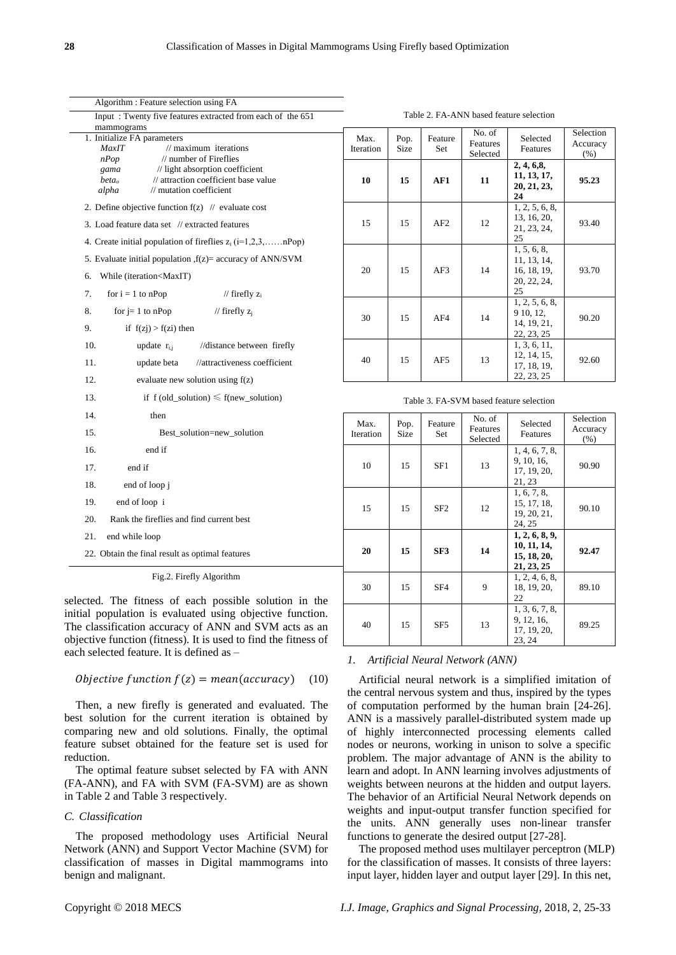| Algorithm : Feature selection using FA                                                                                                                                                                                                                                |  |  |  |  |  |  |
|-----------------------------------------------------------------------------------------------------------------------------------------------------------------------------------------------------------------------------------------------------------------------|--|--|--|--|--|--|
| Input: Twenty five features extracted from each of the 651                                                                                                                                                                                                            |  |  |  |  |  |  |
| mammograms                                                                                                                                                                                                                                                            |  |  |  |  |  |  |
| 1. Initialize FA parameters<br>$\frac{1}{2}$ maximum iterations<br>MaxIT<br>$\frac{1}{2}$ number of Fireflies<br>nPop<br>gama<br>// light absorption coefficient<br>$beta_0$<br>// attraction coefficient base value<br>alpha<br>$\frac{1}{\pi}$ mutation coefficient |  |  |  |  |  |  |
| 2. Define objective function $f(z)$ // evaluate cost                                                                                                                                                                                                                  |  |  |  |  |  |  |
| 3. Load feature data set // extracted features                                                                                                                                                                                                                        |  |  |  |  |  |  |
| 4. Create initial population of fireflies $z_i$ (i=1,2,3,nPop)                                                                                                                                                                                                        |  |  |  |  |  |  |
| 5. Evaluate initial population $f(z)$ = accuracy of ANN/SVM                                                                                                                                                                                                           |  |  |  |  |  |  |
| 6.<br>While (iteration <maxit)< td=""></maxit)<>                                                                                                                                                                                                                      |  |  |  |  |  |  |
| 7.<br>for $i = 1$ to nPop<br>// firefly $z_i$                                                                                                                                                                                                                         |  |  |  |  |  |  |
| 8.<br>for $j = 1$ to nPop<br>// firefly $z_i$                                                                                                                                                                                                                         |  |  |  |  |  |  |
| 9.<br>if $f(zj) > f(zi)$ then                                                                                                                                                                                                                                         |  |  |  |  |  |  |
| 10.<br>update $r_{i,i}$ //distance between firefly                                                                                                                                                                                                                    |  |  |  |  |  |  |
| 11.<br>update beta //attractiveness coefficient                                                                                                                                                                                                                       |  |  |  |  |  |  |
| 12.<br>evaluate new solution using $f(z)$                                                                                                                                                                                                                             |  |  |  |  |  |  |
| 13.<br>if $f(old\_solution) \leq f(new\_solution)$                                                                                                                                                                                                                    |  |  |  |  |  |  |
| 14.<br>then                                                                                                                                                                                                                                                           |  |  |  |  |  |  |
| 15.<br>Best_solution=new_solution                                                                                                                                                                                                                                     |  |  |  |  |  |  |
| 16.<br>end if                                                                                                                                                                                                                                                         |  |  |  |  |  |  |
| 17.<br>end if                                                                                                                                                                                                                                                         |  |  |  |  |  |  |
| 18.<br>end of loop j                                                                                                                                                                                                                                                  |  |  |  |  |  |  |
| 19.<br>end of loop i                                                                                                                                                                                                                                                  |  |  |  |  |  |  |
| 20.<br>Rank the fireflies and find current best                                                                                                                                                                                                                       |  |  |  |  |  |  |
| 21.<br>end while loop                                                                                                                                                                                                                                                 |  |  |  |  |  |  |
| 22. Obtain the final result as optimal features                                                                                                                                                                                                                       |  |  |  |  |  |  |
| Fig.2. Firefly Algorithm                                                                                                                                                                                                                                              |  |  |  |  |  |  |

selected. The fitness of each possible solution in the initial population is evaluated using objective function. The classification accuracy of ANN and SVM acts as an objective function (fitness). It is used to find the fitness of each selected feature. It is defined as –

$$
Objective function f(z) = mean(accuracy)
$$
 (10)

Then, a new firefly is generated and evaluated. The best solution for the current iteration is obtained by comparing new and old solutions. Finally, the optimal feature subset obtained for the feature set is used for reduction.

The optimal feature subset selected by FA with ANN (FA-ANN), and FA with SVM (FA-SVM) are as shown in Table 2 and Table 3 respectively.

## *C. Classification*

The proposed methodology uses Artificial Neural Network (ANN) and Support Vector Machine (SVM) for classification of masses in Digital mammograms into benign and malignant.

| Max.<br>Iteration | Pop.<br>Size | Feature<br>Set | No. of<br><b>Features</b><br>Selected | Selected<br>Features                                           | Selection<br>Accuracy<br>$(\%)$ |
|-------------------|--------------|----------------|---------------------------------------|----------------------------------------------------------------|---------------------------------|
| 10                | 15           | AF1            | 11                                    | 2, 4, 6, 8,<br>11, 13, 17,<br>20, 21, 23,<br>24                | 95.23                           |
| 15                | 15           | AF2            | 12                                    | 1, 2, 5, 6, 8,<br>13, 16, 20,<br>21, 23, 24,<br>25             | 93.40                           |
| 20                | 15           | AF3            | 14                                    | 1, 5, 6, 8,<br>11, 13, 14,<br>16, 18, 19,<br>20, 22, 24,<br>25 | 93.70                           |
| 30                | 15           | AF4            | 14                                    | 1, 2, 5, 6, 8,<br>9 10, 12,<br>14, 19, 21,<br>22, 23, 25       | 90.20                           |
| 40                | 15           | AF5            | 13                                    | 1, 3, 6, 11,<br>12, 14, 15,<br>17, 18, 19,<br>22, 23, 25       | 92.60                           |

Table 2. FA-ANN based feature selection

| Table 3. FA-SVM based feature selection |  |  |
|-----------------------------------------|--|--|
|-----------------------------------------|--|--|

| Max.<br>Iteration | Pop.<br><b>Size</b> | Feature<br>Set  | No. of<br>Features<br>Selected | Selected<br>Features                                       | Selection<br>Accuracy<br>(% ) |
|-------------------|---------------------|-----------------|--------------------------------|------------------------------------------------------------|-------------------------------|
| 10                | 15                  | SF1             | 13                             | 1, 4, 6, 7, 8,<br>9, 10, 16,<br>17, 19, 20,<br>21, 23      | 90.90                         |
| 15                | 15                  | SF <sub>2</sub> | 12                             | 1, 6, 7, 8,<br>15, 17, 18,<br>19, 20, 21,<br>24, 25        | 90.10                         |
| 20                | 15                  | SF3             | 14                             | 1, 2, 6, 8, 9,<br>10, 11, 14,<br>15, 18, 20,<br>21, 23, 25 | 92.47                         |
| 30                | 15                  | SF <sub>4</sub> | 9                              | 1, 2, 4, 6, 8,<br>18, 19, 20,<br>22                        | 89.10                         |
| 40                | 15                  | SF <sub>5</sub> | 13                             | 1, 3, 6, 7, 8,<br>9, 12, 16,<br>17, 19, 20,<br>23, 24      | 89.25                         |

### *1. Artificial Neural Network (ANN)*

Artificial neural network is a simplified imitation of the central nervous system and thus, inspired by the types of computation performed by the human brain [24-26]. ANN is a massively parallel-distributed system made up of highly interconnected processing elements called nodes or neurons, working in unison to solve a specific problem. The major advantage of ANN is the ability to learn and adopt. In ANN learning involves adjustments of weights between neurons at the hidden and output layers. The behavior of an Artificial Neural Network depends on weights and input-output transfer function specified for the units. ANN generally uses non-linear transfer functions to generate the desired output [27-28].

The proposed method uses multilayer perceptron (MLP) for the classification of masses. It consists of three layers: input layer, hidden layer and output layer [29]. In this net,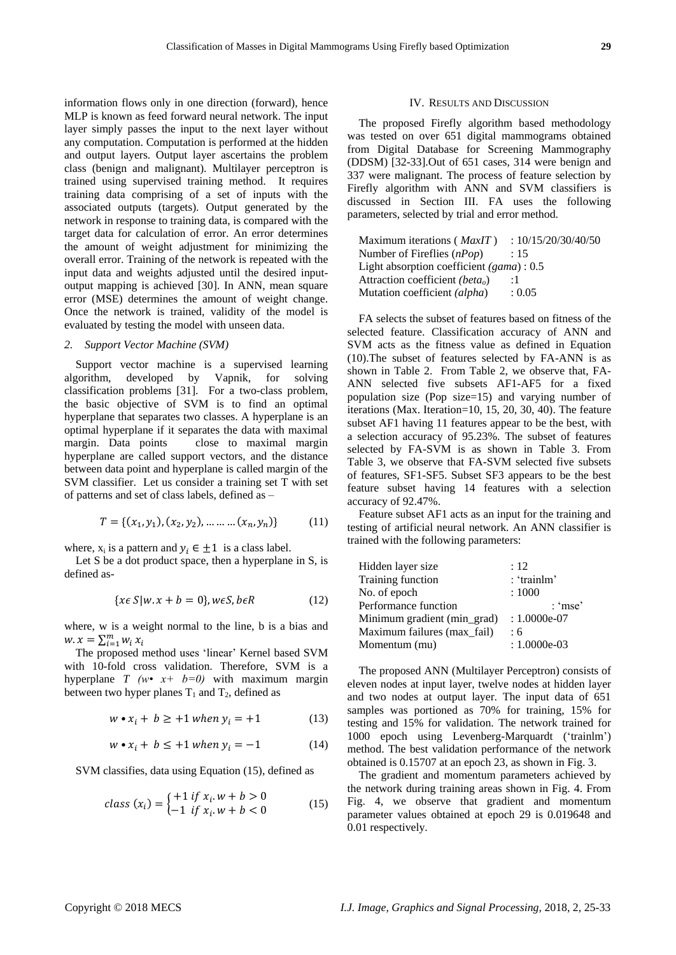information flows only in one direction (forward), hence MLP is known as feed forward neural network. The input layer simply passes the input to the next layer without any computation. Computation is performed at the hidden and output layers. Output layer ascertains the problem class (benign and malignant). Multilayer perceptron is trained using supervised training method. It requires training data comprising of a set of inputs with the associated outputs (targets). Output generated by the network in response to training data, is compared with the target data for calculation of error. An error determines the amount of weight adjustment for minimizing the overall error. Training of the network is repeated with the input data and weights adjusted until the desired inputoutput mapping is achieved [30]. In ANN, mean square error (MSE) determines the amount of weight change. Once the network is trained, validity of the model is evaluated by testing the model with unseen data.

#### *2. Support Vector Machine (SVM)*

Support vector machine is a supervised learning algorithm, developed by Vapnik, for solving classification problems [31]. For a two-class problem, the basic objective of SVM is to find an optimal hyperplane that separates two classes. A hyperplane is an optimal hyperplane if it separates the data with maximal margin. Data points close to maximal margin hyperplane are called support vectors, and the distance between data point and hyperplane is called margin of the SVM classifier. Let us consider a training set T with set of patterns and set of class labels, defined as –

$$
T = \{(x_1, y_1), (x_2, y_2), \dots \dots \dots (x_n, y_n)\}\tag{11}
$$

where,  $x_i$  is a pattern and  $y_i \in \pm 1$  is a class label.

Let S be a dot product space, then a hyperplane in S, is defined as-

$$
\{x \in S | w \cdot x + b = 0\}, w \in S, b \in R \tag{12}
$$

where, w is a weight normal to the line, b is a bias and  $w \cdot x = \sum_{i=1}^{m} w_i x_i$ 

The proposed method uses 'linear' Kernel based SVM with 10-fold cross validation. Therefore, SVM is a hyperplane *T* ( $w \cdot x + b = 0$ ) with maximum margin between two hyper planes  $T_1$  and  $T_2$ , defined as

$$
w \bullet x_i + b \ge +1 \text{ when } y_i = +1 \tag{13}
$$

$$
w \bullet x_i + b \leq +1 \text{ when } y_i = -1 \tag{14}
$$

SVM classifies, data using Equation (15), defined as

$$
class(x_i) = \begin{cases} +1 \text{ if } x_i \cdot w + b > 0 \\ -1 \text{ if } x_i \cdot w + b < 0 \end{cases}
$$
 (15)

#### IV. RESULTS AND DISCUSSION

The proposed Firefly algorithm based methodology was tested on over 651 digital mammograms obtained from Digital Database for Screening Mammography (DDSM) [32-33].Out of 651 cases, 314 were benign and 337 were malignant. The process of feature selection by Firefly algorithm with ANN and SVM classifiers is discussed in Section III. FA uses the following parameters, selected by trial and error method.

Maximum iterations (*MaxIT*) : 10/15/20/30/40/50 Number of Fireflies (*nPop*) : 15 Light absorption coefficient *(gama*) : 0.5 Attraction coefficient *(betao*) :1 Mutation coefficient *(alpha*) : 0.05

FA selects the subset of features based on fitness of the selected feature. Classification accuracy of ANN and SVM acts as the fitness value as defined in Equation (10).The subset of features selected by FA-ANN is as shown in Table 2. From Table 2, we observe that, FA-ANN selected five subsets AF1-AF5 for a fixed population size (Pop size=15) and varying number of iterations (Max. Iteration=10, 15, 20, 30, 40). The feature subset AF1 having 11 features appear to be the best, with a selection accuracy of 95.23%. The subset of features selected by FA-SVM is as shown in Table 3. From Table 3, we observe that FA-SVM selected five subsets of features, SF1-SF5. Subset SF3 appears to be the best feature subset having 14 features with a selection accuracy of 92.47%.

Feature subset AF1 acts as an input for the training and testing of artificial neural network. An ANN classifier is trained with the following parameters:

| Hidden layer size           | : 12           |
|-----------------------------|----------------|
| Training function           | : 'trainlm'    |
| No. of epoch                | :1000          |
| Performance function        | : 'mse'        |
| Minimum gradient (min_grad) | $: 1.0000e-07$ |
| Maximum failures (max fail) | :6             |
| Momentum (mu)               | $: 1.0000e-03$ |
|                             |                |

The proposed ANN (Multilayer Perceptron) consists of eleven nodes at input layer, twelve nodes at hidden layer and two nodes at output layer. The input data of 651 samples was portioned as 70% for training, 15% for testing and 15% for validation. The network trained for 1000 epoch using Levenberg-Marquardt ('trainlm') method. The best validation performance of the network obtained is 0.15707 at an epoch 23, as shown in Fig. 3.

The gradient and momentum parameters achieved by the network during training areas shown in Fig. 4. From Fig. 4, we observe that gradient and momentum parameter values obtained at epoch 29 is 0.019648 and 0.01 respectively.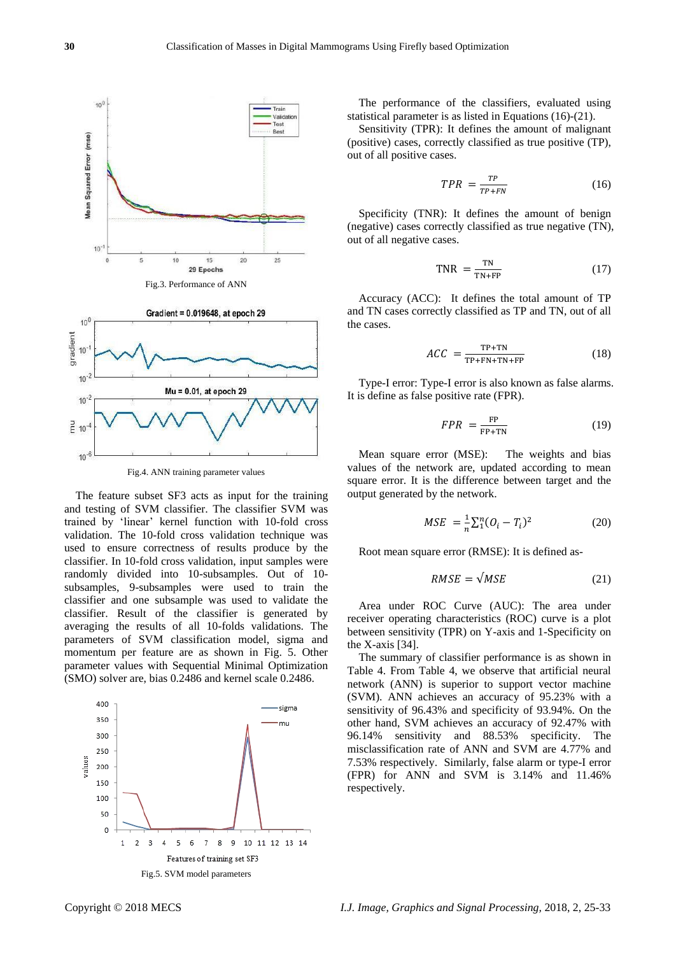

Fig.4. ANN training parameter values

The feature subset SF3 acts as input for the training and testing of SVM classifier. The classifier SVM was trained by 'linear' kernel function with 10-fold cross validation. The 10-fold cross validation technique was used to ensure correctness of results produce by the classifier. In 10-fold cross validation, input samples were randomly divided into 10-subsamples. Out of 10 subsamples, 9-subsamples were used to train the classifier and one subsample was used to validate the classifier. Result of the classifier is generated by averaging the results of all 10-folds validations. The parameters of SVM classification model, sigma and momentum per feature are as shown in Fig. 5. Other parameter values with Sequential Minimal Optimization (SMO) solver are, bias 0.2486 and kernel scale 0.2486.



The performance of the classifiers, evaluated using statistical parameter is as listed in Equations (16)-(21).

Sensitivity (TPR): It defines the amount of malignant (positive) cases, correctly classified as true positive (TP), out of all positive cases.

$$
TPR = \frac{TP}{TP + FN} \tag{16}
$$

Specificity (TNR): It defines the amount of benign (negative) cases correctly classified as true negative (TN), out of all negative cases.

$$
TNR = \frac{TN}{TN + FP}
$$
 (17)

Accuracy (ACC): It defines the total amount of TP and TN cases correctly classified as TP and TN, out of all the cases.

$$
ACC = \frac{TP + TN}{TP + FN + TN + FP}
$$
 (18)

Type-I error: Type-I error is also known as false alarms. It is define as false positive rate (FPR).

$$
FPR = \frac{FP}{FP + TN} \tag{19}
$$

Mean square error (MSE): The weights and bias values of the network are, updated according to mean square error. It is the difference between target and the output generated by the network.

$$
MSE = \frac{1}{n} \sum_{i=1}^{n} (O_i - T_i)^2
$$
 (20)

Root mean square error (RMSE): It is defined as-

$$
RMSE = \sqrt{MSE} \tag{21}
$$

Area under ROC Curve (AUC): The area under receiver operating characteristics (ROC) curve is a plot between sensitivity (TPR) on Y-axis and 1-Specificity on the X-axis [34].

The summary of classifier performance is as shown in Table 4. From Table 4, we observe that artificial neural network (ANN) is superior to support vector machine (SVM). ANN achieves an accuracy of 95.23% with a sensitivity of 96.43% and specificity of 93.94%. On the other hand, SVM achieves an accuracy of 92.47% with 96.14% sensitivity and 88.53% specificity. The misclassification rate of ANN and SVM are 4.77% and 7.53% respectively. Similarly, false alarm or type-I error (FPR) for ANN and SVM is 3.14% and 11.46% respectively.

 $10^{-6}$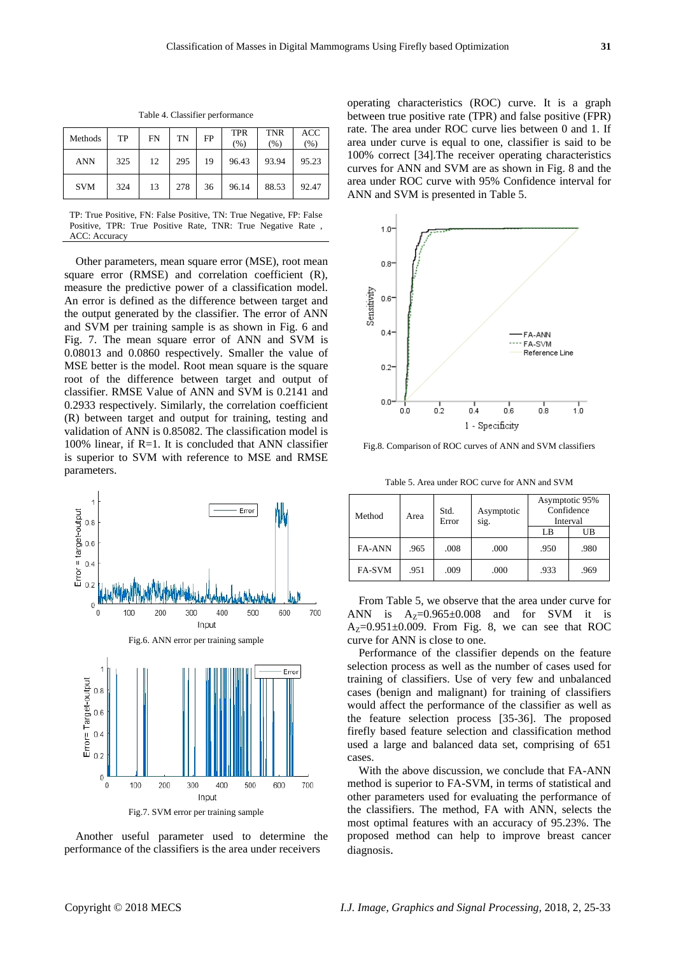| Methods    | TP  | <b>FN</b> | TN  | FP | <b>TPR</b><br>(%) | <b>TNR</b><br>(%) | <b>ACC</b><br>(% ) |
|------------|-----|-----------|-----|----|-------------------|-------------------|--------------------|
| <b>ANN</b> | 325 | 12        | 295 | 19 | 96.43             | 93.94             | 95.23              |
| <b>SVM</b> | 324 | 13        | 278 | 36 | 96.14             | 88.53             | 92.47              |

Table 4. Classifier performance

TP: True Positive, FN: False Positive, TN: True Negative, FP: False Positive, TPR: True Positive Rate, TNR: True Negative Rate , ACC: Accuracy

Other parameters, mean square error (MSE), root mean square error (RMSE) and correlation coefficient (R), measure the predictive power of a classification model. An error is defined as the difference between target and the output generated by the classifier. The error of ANN and SVM per training sample is as shown in Fig. 6 and Fig. 7. The mean square error of ANN and SVM is 0.08013 and 0.0860 respectively. Smaller the value of MSE better is the model. Root mean square is the square root of the difference between target and output of classifier. RMSE Value of ANN and SVM is 0.2141 and 0.2933 respectively. Similarly, the correlation coefficient (R) between target and output for training, testing and validation of ANN is 0.85082. The classification model is 100% linear, if  $R=1$ . It is concluded that ANN classifier is superior to SVM with reference to MSE and RMSE parameters.



Another useful parameter used to determine the performance of the classifiers is the area under receivers

operating characteristics (ROC) curve. It is a graph between true positive rate (TPR) and false positive (FPR) rate. The area under ROC curve lies between 0 and 1. If area under curve is equal to one, classifier is said to be 100% correct [34].The receiver operating characteristics curves for ANN and SVM are as shown in Fig. 8 and the area under ROC curve with 95% Confidence interval for ANN and SVM is presented in Table 5.



Fig.8. Comparison of ROC curves of ANN and SVM classifiers

Table 5. Area under ROC curve for ANN and SVM

| Method        | Area | Std.<br>Error | Asymptotic<br>sig. | Asymptotic 95%<br>Confidence<br>Interval |      |
|---------------|------|---------------|--------------------|------------------------------------------|------|
|               |      |               |                    | LB                                       | UB   |
| <b>FA-ANN</b> | .965 | .008          | .000               | .950                                     | .980 |
| <b>FA-SVM</b> | .951 | .009          | .000               | .933                                     | .969 |

From Table 5, we observe that the area under curve for ANN is  $A_Z=0.965\pm0.008$  and for SVM it is  $A_Z=0.951\pm0.009$ . From Fig. 8, we can see that ROC curve for ANN is close to one.

Performance of the classifier depends on the feature selection process as well as the number of cases used for training of classifiers. Use of very few and unbalanced cases (benign and malignant) for training of classifiers would affect the performance of the classifier as well as the feature selection process [35-36]. The proposed firefly based feature selection and classification method used a large and balanced data set, comprising of 651 cases.

With the above discussion, we conclude that FA-ANN method is superior to FA-SVM, in terms of statistical and other parameters used for evaluating the performance of the classifiers. The method, FA with ANN, selects the most optimal features with an accuracy of 95.23%. The proposed method can help to improve breast cancer diagnosis.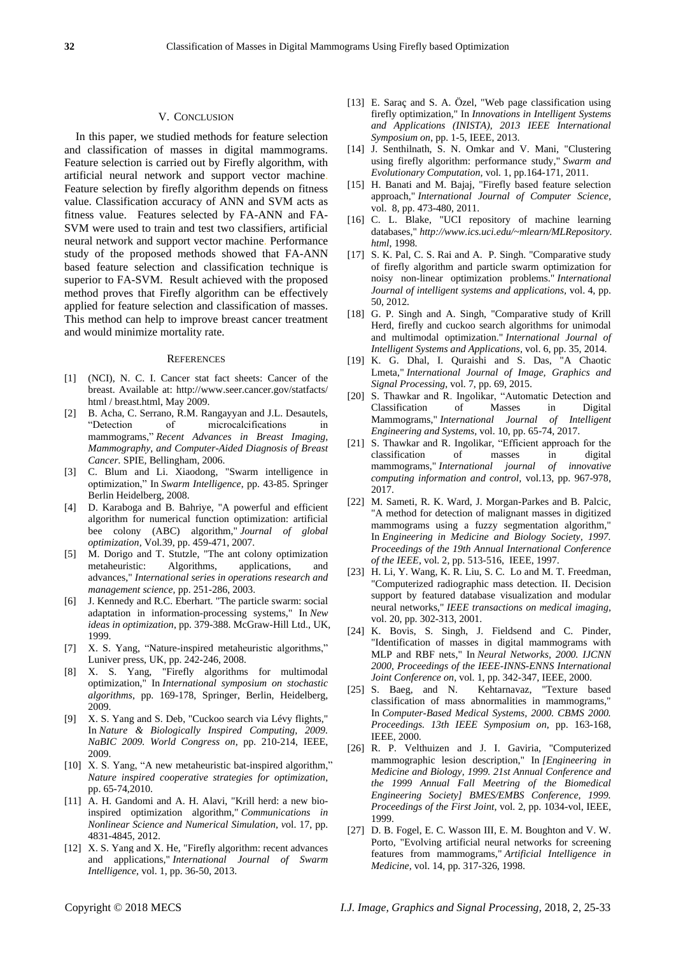#### V. CONCLUSION

In this paper, we studied methods for feature selection and classification of masses in digital mammograms. Feature selection is carried out by Firefly algorithm, with artificial neural network and support vector machine. Feature selection by firefly algorithm depends on fitness value. Classification accuracy of ANN and SVM acts as fitness value. Features selected by FA-ANN and FA-SVM were used to train and test two classifiers, artificial neural network and support vector machine. Performance study of the proposed methods showed that FA-ANN based feature selection and classification technique is superior to FA-SVM. Result achieved with the proposed method proves that Firefly algorithm can be effectively applied for feature selection and classification of masses. This method can help to improve breast cancer treatment and would minimize mortality rate.

#### **REFERENCES**

- [1] (NCI), N. C. I. Cancer stat fact sheets: Cancer of the breast. Available at: http://www.seer.cancer.gov/statfacts/ html / breast.html, May 2009.
- [2] B. Acha, C. Serrano, R.M. Rangayyan and J.L. Desautels, "Detection of microcalcifications in mammograms," *Recent Advances in Breast Imaging, Mammography, and Computer-Aided Diagnosis of Breast Cancer.* SPIE, Bellingham, 2006.
- [3] C. Blum and Li. Xiaodong, "Swarm intelligence in optimization," In *Swarm Intelligence*, pp. 43-85. Springer Berlin Heidelberg, 2008.
- [4] D. Karaboga and B. Bahriye, "A powerful and efficient algorithm for numerical function optimization: artificial bee colony (ABC) algorithm," *Journal of global optimization,* Vol*.*39, pp. 459-471, 2007.
- [5] M. Dorigo and T. Stutzle, "The ant colony optimization metaheuristic: Algorithms, applications, and advances," *International series in operations research and management science,* pp. 251-286, 2003.
- [6] J. Kennedy and R.C. Eberhart. "The particle swarm: social adaptation in information-processing systems," In *New ideas in optimization*, pp. 379-388. McGraw-Hill Ltd., UK, 1999.
- [7] X. S. Yang, "Nature-inspired metaheuristic algorithms," Luniver press, UK, pp. 242-246, 2008.
- [8] X. S. Yang, "Firefly algorithms for multimodal optimization," In *International symposium on stochastic algorithms*, pp. 169-178, Springer, Berlin, Heidelberg, 2009.
- [9] X. S. Yang and S. Deb, "Cuckoo search via Lévy flights," In *Nature & Biologically Inspired Computing, 2009. NaBIC 2009. World Congress on*, pp. 210-214, IEEE, 2009.
- [10] X. S. Yang, "A new metaheuristic bat-inspired algorithm," *Nature inspired cooperative strategies for optimization*, pp. 65-74,2010.
- [11] A. H. Gandomi and A. H. Alavi, "Krill herd: a new bioinspired optimization algorithm," *Communications in Nonlinear Science and Numerical Simulation, v*ol. 17, pp. 4831-4845, 2012.
- [12] X. S. Yang and X. He, "Firefly algorithm: recent advances and applications," *International Journal of Swarm Intelligence,* vol. 1, pp. 36-50, 2013.
- [13] E. Sarac and S. A. Özel, "Web page classification using firefly optimization," In *Innovations in Intelligent Systems and Applications (INISTA), 2013 IEEE International Symposium on*, pp. 1-5, IEEE, 2013.
- [14] J. Senthilnath, S. N. Omkar and V. Mani, "Clustering using firefly algorithm: performance study," *Swarm and Evolutionary Computation,* vol. 1, pp.164-171, 2011.
- [15] H. Banati and M. Bajaj, "Firefly based feature selection approach," *International Journal of Computer Science,*  vol.8, pp. 473-480, 2011.
- [16] C. L. Blake, "UCI repository of machine learning databases," *http://www.ics.uci.edu/~mlearn/MLRepository. html*, 1998.
- [17] S. K. Pal, C. S. Rai and A. P. Singh. "Comparative study of firefly algorithm and particle swarm optimization for noisy non-linear optimization problems." *International Journal of intelligent systems and applications,* vol. 4, pp. 50, 2012.
- [18] G. P. Singh and A. Singh, "Comparative study of Krill Herd, firefly and cuckoo search algorithms for unimodal and multimodal optimization." *International Journal of Intelligent Systems and Applications*, vol. 6, pp. 35, 2014.
- [19] K. G. Dhal, I. Quraishi and S. Das, "A Chaotic Lmeta," *International Journal of Image, Graphics and Signal Processing*, vol. 7, pp. 69, 2015.
- [20] S. Thawkar and R. Ingolikar, "Automatic Detection and Classification of Masses in Digital Mammograms," *International Journal of Intelligent Engineering and Systems,* vol. 10, pp. 65-74, 2017.
- [21] S. Thawkar and R. Ingolikar, "Efficient approach for the classification of masses in digital mammograms," *International journal of innovative computing information and control,* vol.13, pp. 967-978, 2017.
- [22] M. Sameti, R. K. Ward, J. Morgan-Parkes and B. Palcic, "A method for detection of malignant masses in digitized mammograms using a fuzzy segmentation algorithm," In *Engineering in Medicine and Biology Society, 1997. Proceedings of the 19th Annual International Conference of the IEEE*, vol. 2, pp. 513-516, IEEE, 1997.
- [23] H. Li, Y. Wang, K. R. Liu, S. C. Lo and M. T. Freedman, "Computerized radiographic mass detection. II. Decision support by featured database visualization and modular neural networks," *IEEE transactions on medical imaging,*  vol. 20, pp. 302-313, 2001.
- [24] K. Bovis, S. Singh, J. Fieldsend and C. Pinder, "Identification of masses in digital mammograms with MLP and RBF nets," In *Neural Networks, 2000. IJCNN 2000, Proceedings of the IEEE-INNS-ENNS International Joint Conference on*, vol. 1, pp. 342-347, IEEE, 2000.
- [25] S. Baeg, and N. Kehtarnavaz, "Texture based classification of mass abnormalities in mammograms," In *Computer-Based Medical Systems, 2000. CBMS 2000. Proceedings. 13th IEEE Symposium on*, pp. 163-168, IEEE, 2000.
- [26] R. P. Velthuizen and J. I. Gaviria, "Computerized mammographic lesion description," In *[Engineering in Medicine and Biology, 1999. 21st Annual Conference and the 1999 Annual Fall Meetring of the Biomedical Engineering Society] BMES/EMBS Conference, 1999. Proceedings of the First Joint*, vol. 2, pp. 1034-vol, IEEE, 1999.
- [27] D. B. Fogel, E. C. Wasson III, E. M. Boughton and V. W. Porto, "Evolving artificial neural networks for screening features from mammograms," *Artificial Intelligence in Medicine,* vol. 14, pp. 317-326, 1998.